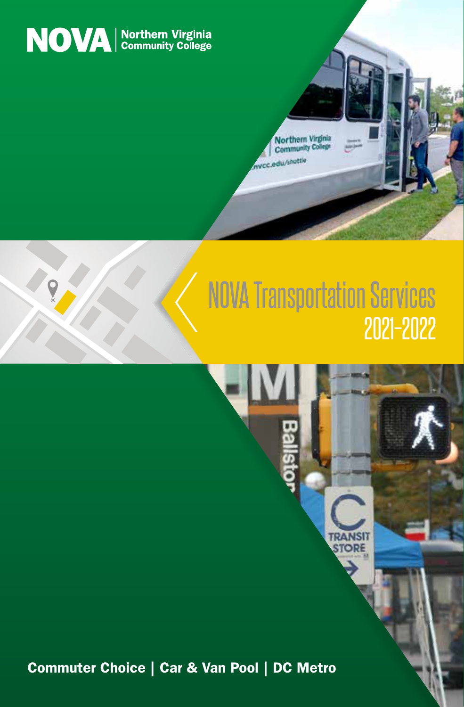

## NOVA Transportation Services 2021–2022

**TRANSI STORE** 

Northern Virginia Community<sub>C</sub> nycc.edu/shut

1

Commuter Choice | Car & Van Pool | DC Metro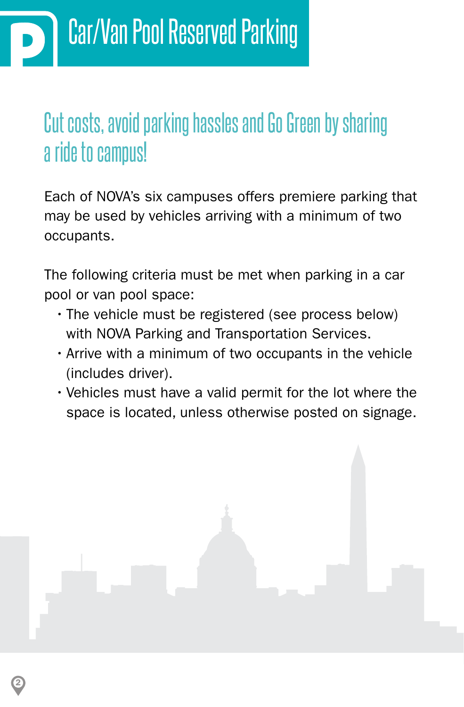2

### Cut costs, avoid parking hassles and Go Green by sharing a ride to campus!

Each of NOVA's six campuses offers premiere parking that may be used by vehicles arriving with a minimum of two occupants.

The following criteria must be met when parking in a car pool or van pool space:

- The vehicle must be registered (see process below) with NOVA Parking and Transportation Services.
- Arrive with a minimum of two occupants in the vehicle (includes driver).
- Vehicles must have a valid permit for the lot where the space is located, unless otherwise posted on signage.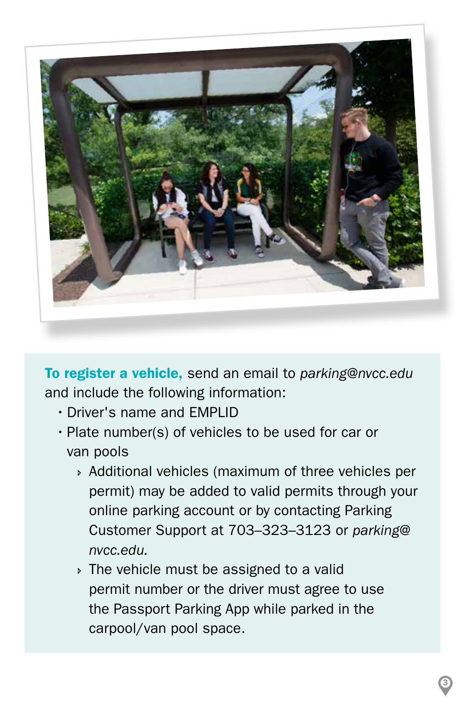

To register a vehicle, send an email to *parking@nvcc.edu* and include the following information:

- •Driver's name and EMPLID
- Plate number(s) of vehicles to be used for car or van pools
	- » Additional vehicles (maximum of three vehicles per permit) may be added to valid permits through your online parking account or by contacting Parking Customer Support at 703–323–3123 or *parking@ nvcc.edu.*
	- **If The vehicle must be assigned to a valid**  permit number or the driver must agree to use the Passport Parking App while parked in the carpool/van pool space.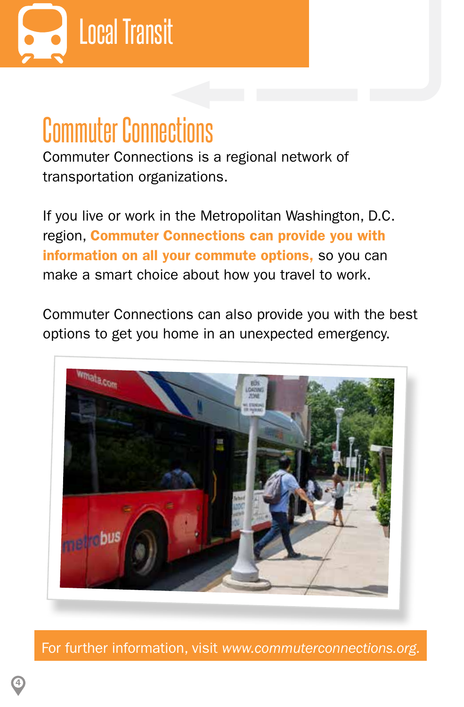

# Commuter Connections

Commuter Connections is a regional network of transportation organizations.

If you live or work in the Metropolitan Washington, D.C. region, Commuter Connections can provide you with information on all your commute options, so you can make a smart choice about how you travel to work.

Commuter Connections can also provide you with the best options to get you home in an unexpected emergency.



For further information, visit *www.commuterconnections.org.*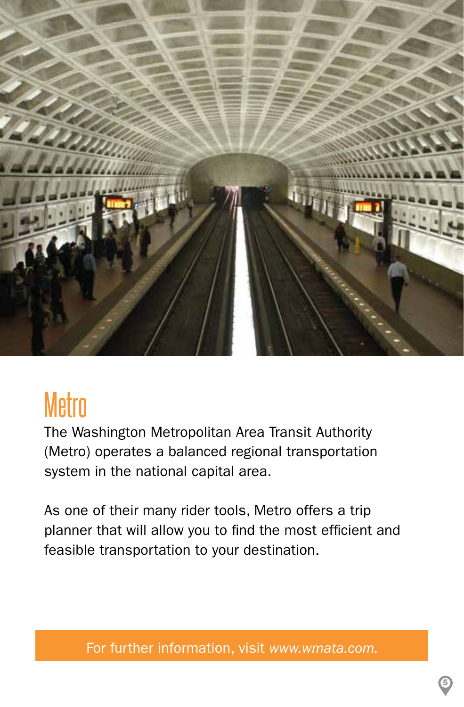

## **Metro**

The Washington Metropolitan Area Transit Authority (Metro) operates a balanced regional transportation system in the national capital area.

As one of their many rider tools, Metro offers a trip planner that will allow you to find the most efficient and feasible transportation to your destination.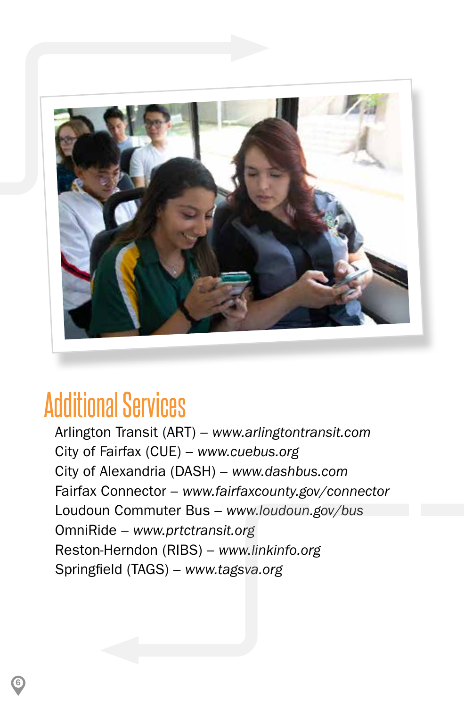

## Additional Services

6

Arlington Transit (ART) – *[www.arlingtontransit.com](http://www.arlingtontransit.com)* City of Fairfax (CUE) – *[www.cuebus.org](http://www.cuebus.org)* City of Alexandria (DASH) – *[www.dashbus.com](http://www.dashbus.com)* Fairfax Connector – *[www.fairfaxcounty.gov/connector](http://www.fairfaxcounty.gov/connector)* Loudoun Commuter Bus – *[www.loudoun.gov/bus](http://www.loudoun.gov/bus)* OmniRide – *[www.prtctransit.org](http://www.prtctransit.org)* Reston-Herndon (RIBS) – *[www.linkinfo.org](http://www.linkinfo.org)* Springfield (TAGS) – *[www.tagsva.org](http://www.tagsva.org)*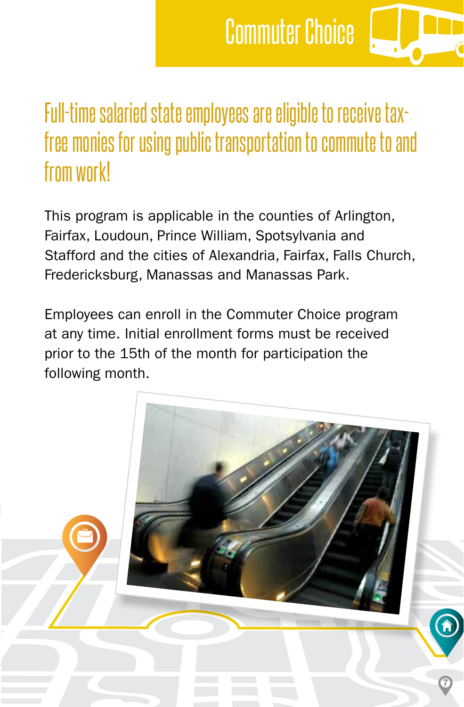## Commuter Choice

### Full-time salaried state employees are eligible to receive taxfree monies for using public transportation to commute to and from work!

This program is applicable in the counties of Arlington, Fairfax, Loudoun, Prince William, Spotsylvania and Stafford and the cities of Alexandria, Fairfax, Falls Church, Fredericksburg, Manassas and Manassas Park.

Employees can enroll in the Commuter Choice program at any time. Initial enrollment forms must be received prior to the 15th of the month for participation the following month.

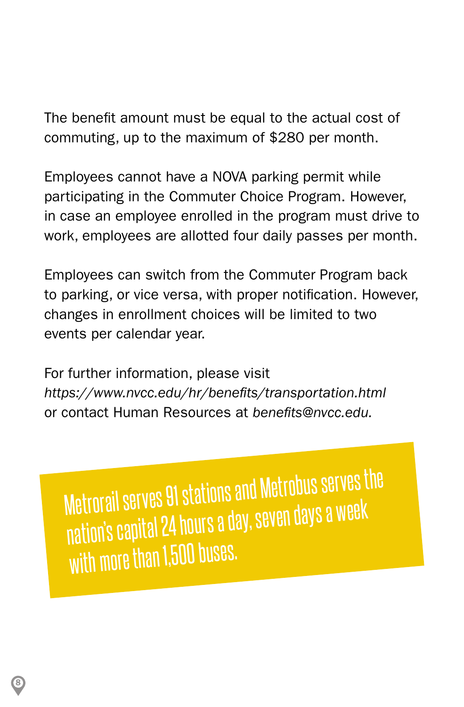The benefit amount must be equal to the actual cost of commuting, up to the maximum of \$280 per month.

Employees cannot have a NOVA parking permit while participating in the Commuter Choice Program. However, in case an employee enrolled in the program must drive to work, employees are allotted four daily passes per month.

Employees can switch from the Commuter Program back to parking, or vice versa, with proper notification. However, changes in enrollment choices will be limited to two events per calendar year.

For further information, please visit *<https://www.nvcc.edu/hr/benefits/transportation.html>* or contact Human Resources at *benefits@nvcc.edu.* 

Metrorail serves 91 stations and Metrobus serves the nation's capital 24 hours a day, seven days a week with more than 1,500 buses.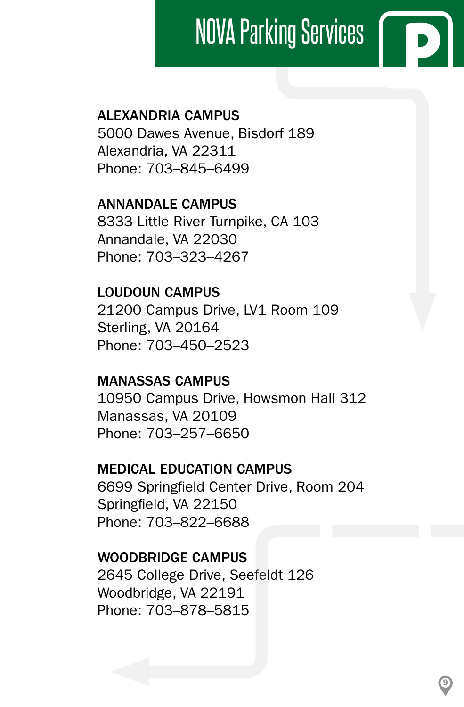### $\sqrt{2}$ NOVA Parking Services

### ALEXANDRIA CAMPUS

5000 Dawes Avenue, Bisdorf 189 Alexandria, VA 22311 Phone: 703–845–6499

ANNANDALE CAMPUS 8333 Little River Turnpike, CA 103 Annandale, VA 22030 Phone: 703–323–4267

LOUDOUN CAMPUS 21200 Campus Drive, LV1 Room 109 Sterling, VA 20164 Phone: 703–450–2523

#### MANASSAS CAMPUS

10950 Campus Drive, Howsmon Hall 312 Manassas, VA 20109 Phone: 703–257–6650

#### MEDICAL EDUCATION CAMPUS

6699 Springfield Center Drive, Room 204 Springfield, VA 22150 Phone: 703–822–6688

9

#### WOODBRIDGE CAMPUS

2645 College Drive, Seefeldt 126 Woodbridge, VA 22191 Phone: 703–878–5815